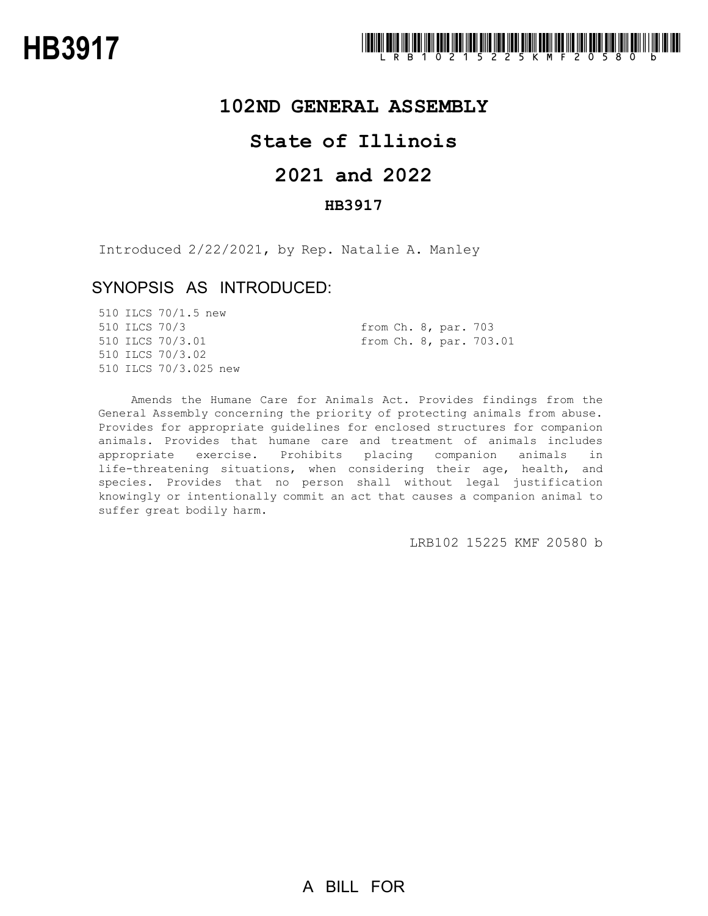

## **102ND GENERAL ASSEMBLY**

# **State of Illinois**

# **2021 and 2022**

### **HB3917**

Introduced 2/22/2021, by Rep. Natalie A. Manley

## SYNOPSIS AS INTRODUCED:

|               | 510 ILCS 70/1.5 new   |  |  |  |                         |  |
|---------------|-----------------------|--|--|--|-------------------------|--|
| 510 ILCS 70/3 |                       |  |  |  | from Ch. 8, par. 703    |  |
|               | 510 ILCS 70/3.01      |  |  |  | from Ch. 8, par. 703.01 |  |
|               | 510 ILCS 70/3.02      |  |  |  |                         |  |
|               | 510 ILCS 70/3.025 new |  |  |  |                         |  |

Amends the Humane Care for Animals Act. Provides findings from the General Assembly concerning the priority of protecting animals from abuse. Provides for appropriate guidelines for enclosed structures for companion animals. Provides that humane care and treatment of animals includes appropriate exercise. Prohibits placing companion animals in life-threatening situations, when considering their age, health, and species. Provides that no person shall without legal justification knowingly or intentionally commit an act that causes a companion animal to suffer great bodily harm.

LRB102 15225 KMF 20580 b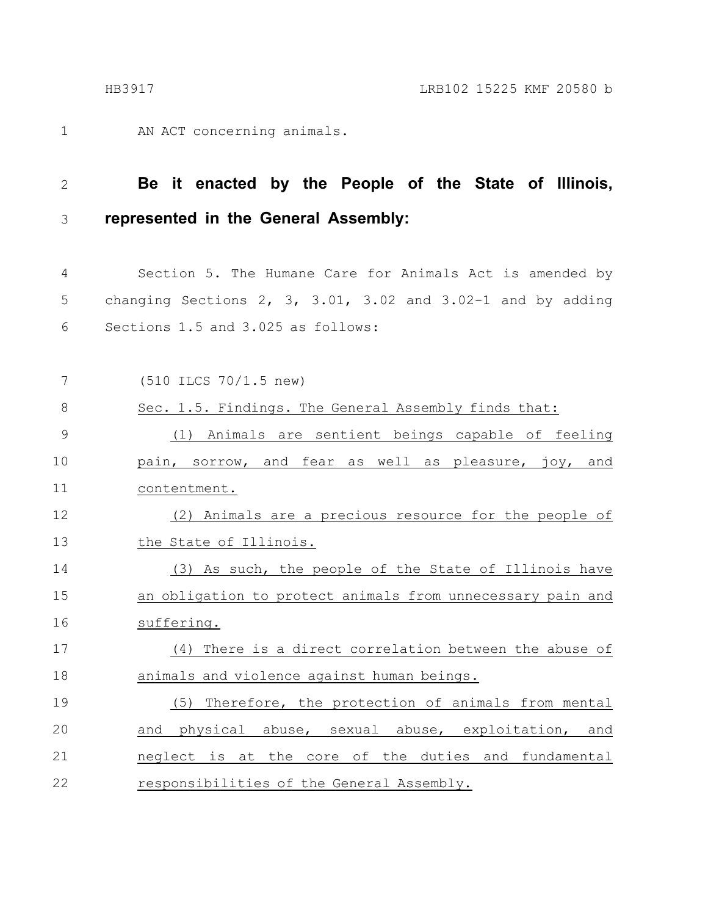AN ACT concerning animals. 1

#### **Be it enacted by the People of the State of Illinois, represented in the General Assembly:** 2 3

Section 5. The Humane Care for Animals Act is amended by changing Sections 2, 3, 3.01, 3.02 and 3.02-1 and by adding Sections 1.5 and 3.025 as follows: 4 5 6

| 7  | $(510$ ILCS $70/1.5$ new)                                  |
|----|------------------------------------------------------------|
| 8  | Sec. 1.5. Findings. The General Assembly finds that:       |
| 9  | (1) Animals are sentient beings capable of feeling         |
| 10 | pain, sorrow, and fear as well as pleasure, joy, and       |
| 11 | contentment.                                               |
| 12 | (2) Animals are a precious resource for the people of      |
| 13 | the State of Illinois.                                     |
| 14 | (3) As such, the people of the State of Illinois have      |
| 15 | an obligation to protect animals from unnecessary pain and |
| 16 | suffering.                                                 |
| 17 | (4) There is a direct correlation between the abuse of     |
| 18 | animals and violence against human beings.                 |
| 19 | (5) Therefore, the protection of animals from mental       |
| 20 | and physical abuse, sexual abuse, exploitation, and        |
| 21 | neglect is at the core of the duties and fundamental       |
| 22 | responsibilities of the General Assembly.                  |
|    |                                                            |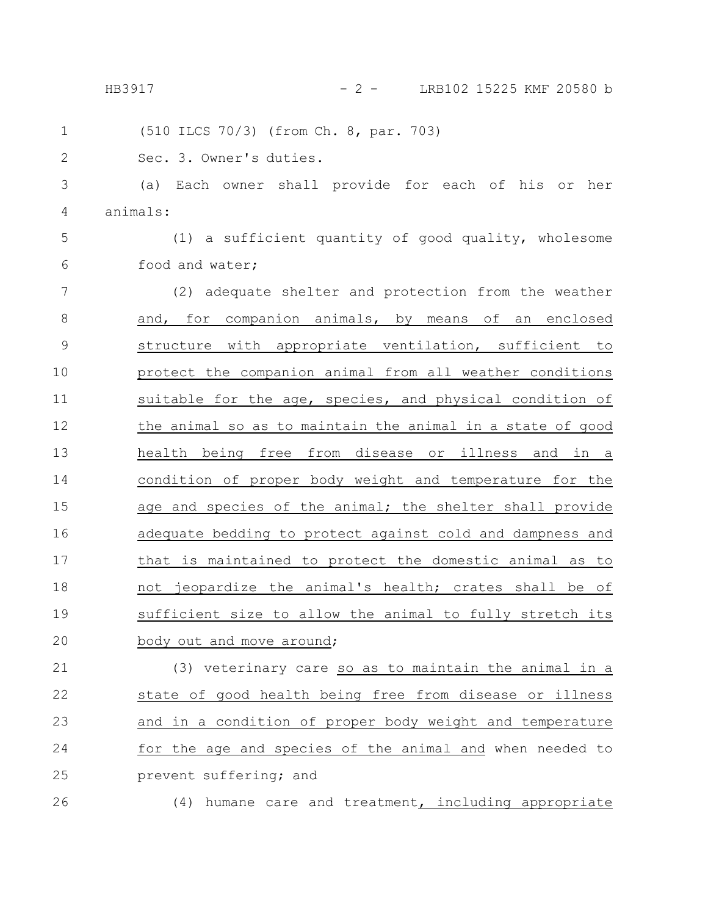26

HB3917 - 2 - LRB102 15225 KMF 20580 b

(510 ILCS 70/3) (from Ch. 8, par. 703) Sec. 3. Owner's duties. (a) Each owner shall provide for each of his or her animals: (1) a sufficient quantity of good quality, wholesome food and water; (2) adequate shelter and protection from the weather and, for companion animals, by means of an enclosed structure with appropriate ventilation, sufficient to protect the companion animal from all weather conditions suitable for the age, species, and physical condition of the animal so as to maintain the animal in a state of good health being free from disease or illness and in a condition of proper body weight and temperature for the age and species of the animal; the shelter shall provide adequate bedding to protect against cold and dampness and that is maintained to protect the domestic animal as to not jeopardize the animal's health; crates shall be of sufficient size to allow the animal to fully stretch its body out and move around; (3) veterinary care so as to maintain the animal in a state of good health being free from disease or illness and in a condition of proper body weight and temperature for the age and species of the animal and when needed to prevent suffering; and 1 2 3 4 5 6 7 8 9 10 11 12 13 14 15 16 17 18 19 20 21 22 23 24 25

(4) humane care and treatment, including appropriate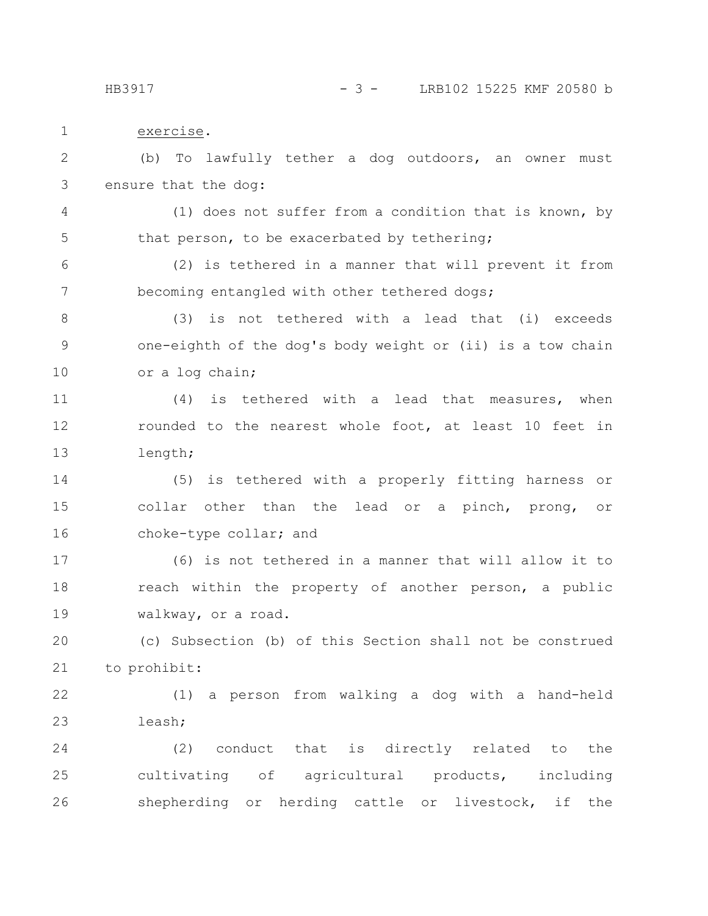HB3917 - 3 - LRB102 15225 KMF 20580 b

exercise. (b) To lawfully tether a dog outdoors, an owner must ensure that the dog: (1) does not suffer from a condition that is known, by that person, to be exacerbated by tethering; (2) is tethered in a manner that will prevent it from becoming entangled with other tethered dogs; (3) is not tethered with a lead that (i) exceeds one-eighth of the dog's body weight or (ii) is a tow chain or a log chain; (4) is tethered with a lead that measures, when rounded to the nearest whole foot, at least 10 feet in length; (5) is tethered with a properly fitting harness or collar other than the lead or a pinch, prong, or choke-type collar; and (6) is not tethered in a manner that will allow it to reach within the property of another person, a public walkway, or a road. (c) Subsection (b) of this Section shall not be construed to prohibit: (1) a person from walking a dog with a hand-held leash; (2) conduct that is directly related to the cultivating of agricultural products, including shepherding or herding cattle or livestock, if the 1 2 3 4 5 6 7 8 9 10 11 12 13 14 15 16 17 18 19 20 21 22 23 24 25 26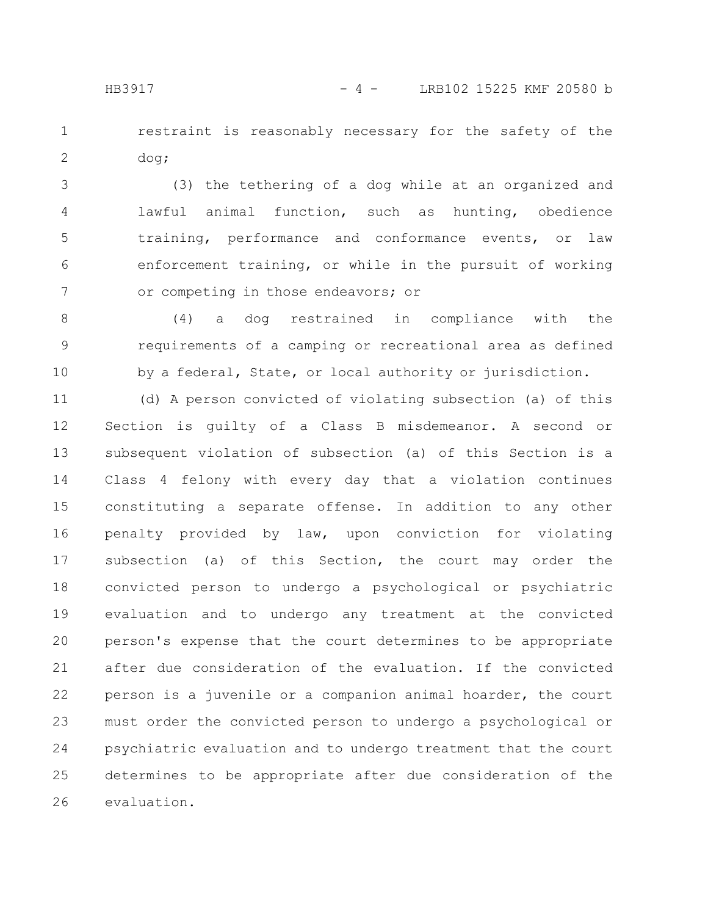restraint is reasonably necessary for the safety of the dog; 1 2

(3) the tethering of a dog while at an organized and lawful animal function, such as hunting, obedience training, performance and conformance events, or law enforcement training, or while in the pursuit of working or competing in those endeavors; or 3 4 5 6 7

(4) a dog restrained in compliance with the requirements of a camping or recreational area as defined by a federal, State, or local authority or jurisdiction. 8 9 10

(d) A person convicted of violating subsection (a) of this Section is guilty of a Class B misdemeanor. A second or subsequent violation of subsection (a) of this Section is a Class 4 felony with every day that a violation continues constituting a separate offense. In addition to any other penalty provided by law, upon conviction for violating subsection (a) of this Section, the court may order the convicted person to undergo a psychological or psychiatric evaluation and to undergo any treatment at the convicted person's expense that the court determines to be appropriate after due consideration of the evaluation. If the convicted person is a juvenile or a companion animal hoarder, the court must order the convicted person to undergo a psychological or psychiatric evaluation and to undergo treatment that the court determines to be appropriate after due consideration of the evaluation. 11 12 13 14 15 16 17 18 19 20 21 22 23 24 25 26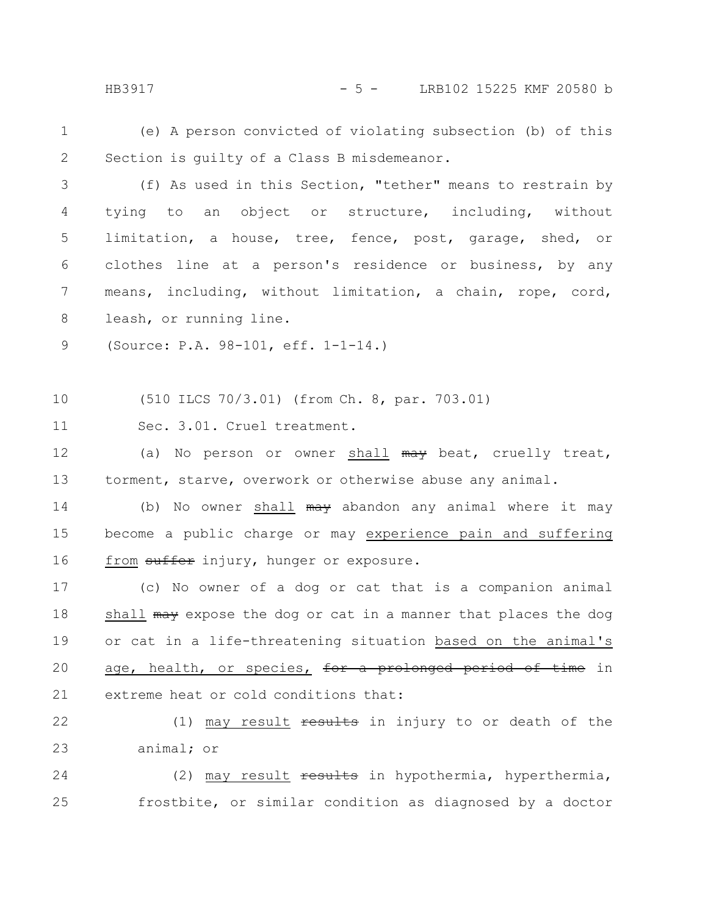HB3917 - 5 - LRB102 15225 KMF 20580 b

(e) A person convicted of violating subsection (b) of this Section is guilty of a Class B misdemeanor. 1 2

(f) As used in this Section, "tether" means to restrain by tying to an object or structure, including, without limitation, a house, tree, fence, post, garage, shed, or clothes line at a person's residence or business, by any means, including, without limitation, a chain, rope, cord, leash, or running line. 3 4 5 6 7 8

(Source: P.A. 98-101, eff. 1-1-14.) 9

(510 ILCS 70/3.01) (from Ch. 8, par. 703.01) 10

Sec. 3.01. Cruel treatment. 11

(a) No person or owner shall may beat, cruelly treat, torment, starve, overwork or otherwise abuse any animal. 12 13

(b) No owner shall may abandon any animal where it may become a public charge or may experience pain and suffering from suffer injury, hunger or exposure. 14 15 16

(c) No owner of a dog or cat that is a companion animal shall may expose the dog or cat in a manner that places the dog or cat in a life-threatening situation based on the animal's age, health, or species, for a prolonged period of time in extreme heat or cold conditions that: 17 18 19 20 21

(1) may result  $\frac{1}{10}$  results in injury to or death of the animal; or 22 23

(2) may result results in hypothermia, hyperthermia, frostbite, or similar condition as diagnosed by a doctor 24 25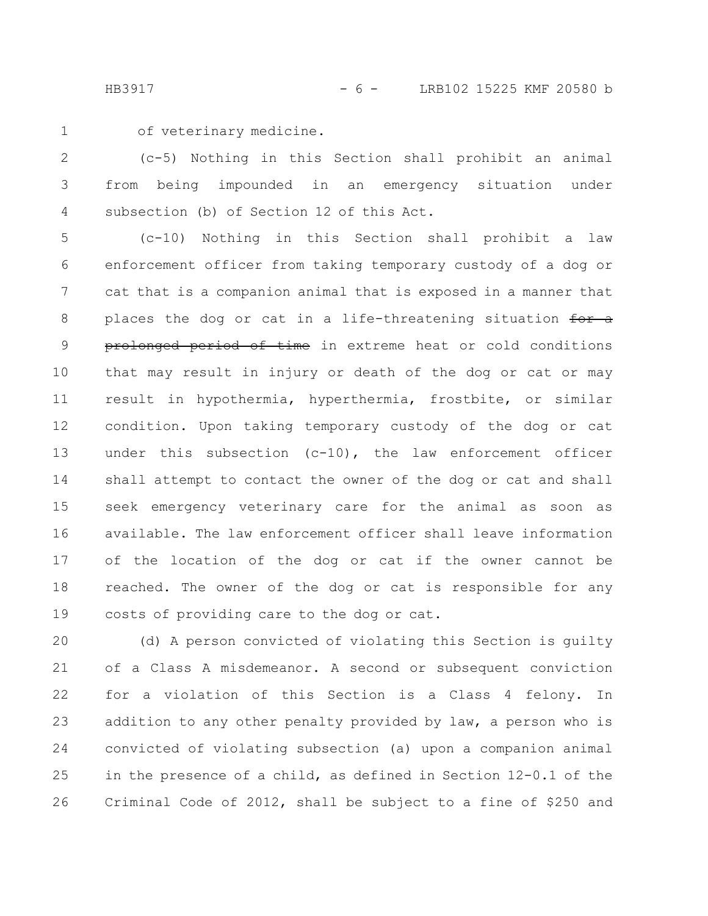HB3917 - 6 - LRB102 15225 KMF 20580 b

1

of veterinary medicine.

(c-5) Nothing in this Section shall prohibit an animal from being impounded in an emergency situation under subsection (b) of Section 12 of this Act. 2 3 4

(c-10) Nothing in this Section shall prohibit a law enforcement officer from taking temporary custody of a dog or cat that is a companion animal that is exposed in a manner that places the dog or cat in a life-threatening situation for a prolonged period of time in extreme heat or cold conditions that may result in injury or death of the dog or cat or may result in hypothermia, hyperthermia, frostbite, or similar condition. Upon taking temporary custody of the dog or cat under this subsection (c-10), the law enforcement officer shall attempt to contact the owner of the dog or cat and shall seek emergency veterinary care for the animal as soon as available. The law enforcement officer shall leave information of the location of the dog or cat if the owner cannot be reached. The owner of the dog or cat is responsible for any costs of providing care to the dog or cat. 5 6 7 8 9 10 11 12 13 14 15 16 17 18 19

(d) A person convicted of violating this Section is guilty of a Class A misdemeanor. A second or subsequent conviction for a violation of this Section is a Class 4 felony. In addition to any other penalty provided by law, a person who is convicted of violating subsection (a) upon a companion animal in the presence of a child, as defined in Section 12-0.1 of the Criminal Code of 2012, shall be subject to a fine of \$250 and 20 21 22 23 24 25 26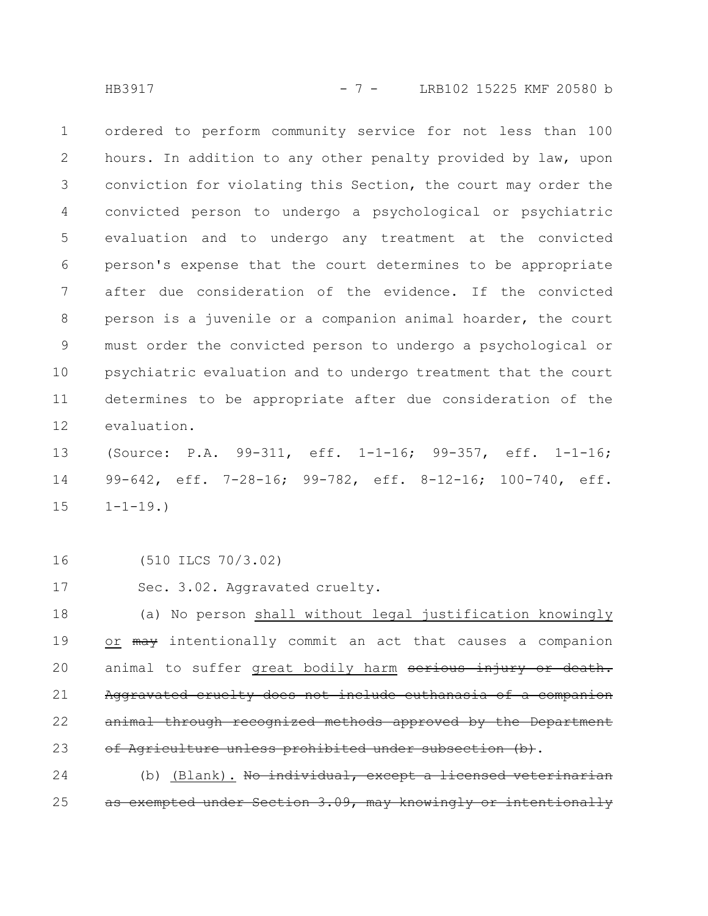HB3917 - 7 - LRB102 15225 KMF 20580 b

ordered to perform community service for not less than 100 hours. In addition to any other penalty provided by law, upon conviction for violating this Section, the court may order the convicted person to undergo a psychological or psychiatric evaluation and to undergo any treatment at the convicted person's expense that the court determines to be appropriate after due consideration of the evidence. If the convicted person is a juvenile or a companion animal hoarder, the court must order the convicted person to undergo a psychological or psychiatric evaluation and to undergo treatment that the court determines to be appropriate after due consideration of the evaluation. 1 2 3 4 5 6 7 8 9 10 11 12

(Source: P.A. 99-311, eff. 1-1-16; 99-357, eff. 1-1-16; 99-642, eff. 7-28-16; 99-782, eff. 8-12-16; 100-740, eff.  $1 - 1 - 19.$ 13 14 15

(510 ILCS 70/3.02) 16

Sec. 3.02. Aggravated cruelty. 17

(a) No person shall without legal justification knowingly or may intentionally commit an act that causes a companion animal to suffer great bodily harm serious injury or death. Aggravated cruelty does not include euthanasia of a companion animal through recognized methods approved by the Department of Agriculture unless prohibited under subsection (b). 18 19 20 21 22 23

(b) (Blank). No individual, except a licensed veterinarian as exempted under Section 3.09, may knowingly or intentionally 24 25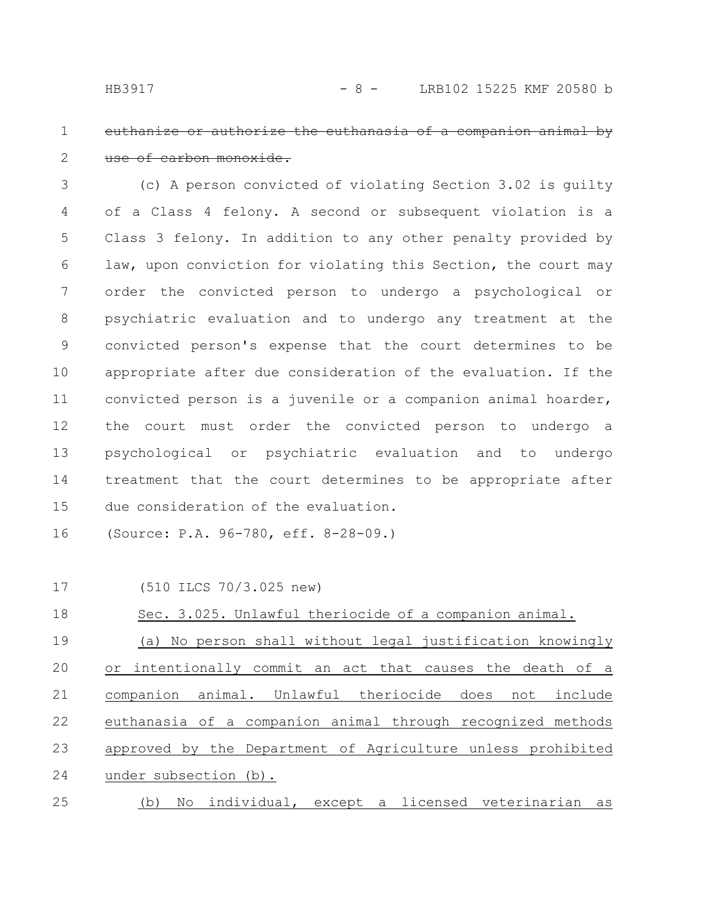#### euthanize or authorize the euthanasia use of carbon monoxide. 1 2

(c) A person convicted of violating Section 3.02 is guilty of a Class 4 felony. A second or subsequent violation is a Class 3 felony. In addition to any other penalty provided by law, upon conviction for violating this Section, the court may order the convicted person to undergo a psychological or psychiatric evaluation and to undergo any treatment at the convicted person's expense that the court determines to be appropriate after due consideration of the evaluation. If the convicted person is a juvenile or a companion animal hoarder, the court must order the convicted person to undergo a psychological or psychiatric evaluation and to undergo treatment that the court determines to be appropriate after due consideration of the evaluation. 3 4 5 6 7 8 9 10 11 12 13 14 15

(Source: P.A. 96-780, eff. 8-28-09.) 16

(510 ILCS 70/3.025 new) 17